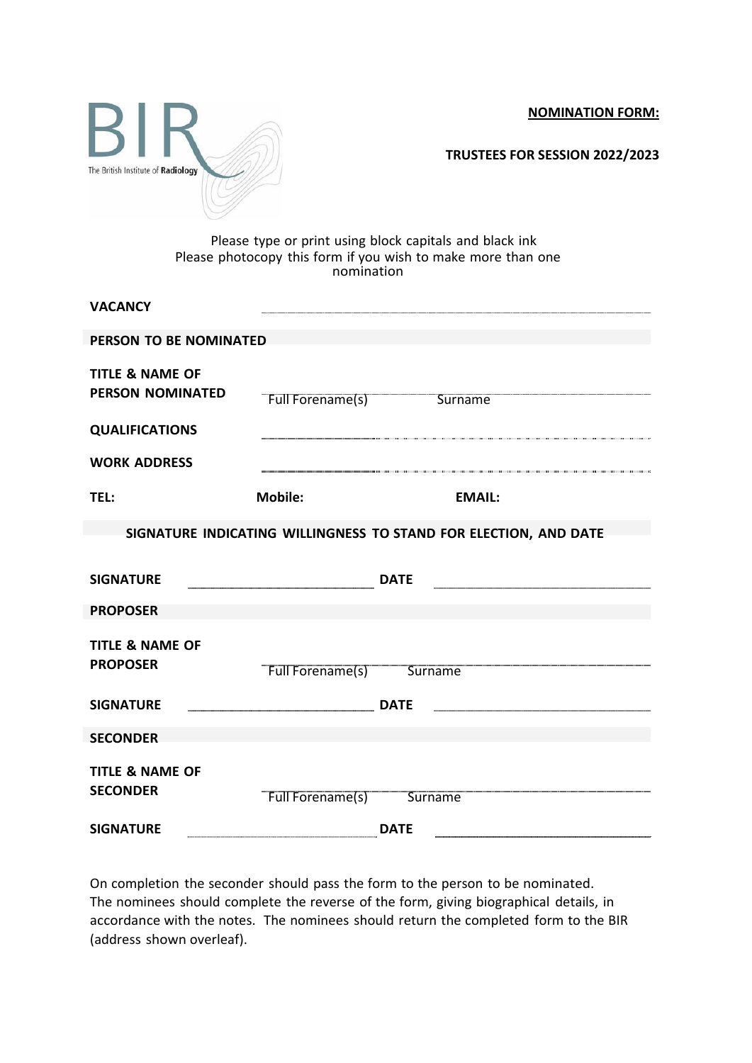**NOMINATION FORM:**



**TRUSTEES FOR SESSION 2022/2023**

## Please type or print using block capitals and black ink Please photocopy this form if you wish to make more than one nomination

| <b>VACANCY</b>                                                   |                  |             |                |
|------------------------------------------------------------------|------------------|-------------|----------------|
| PERSON TO BE NOMINATED                                           |                  |             |                |
| <b>TITLE &amp; NAME OF</b><br><b>PERSON NOMINATED</b>            | Full Forename(s) |             | <b>Surname</b> |
| <b>QUALIFICATIONS</b>                                            |                  |             |                |
| <b>WORK ADDRESS</b>                                              |                  |             |                |
| TEL:                                                             | <b>Mobile:</b>   |             | <b>EMAIL:</b>  |
| SIGNATURE INDICATING WILLINGNESS TO STAND FOR ELECTION, AND DATE |                  |             |                |
|                                                                  |                  |             |                |
| <b>SIGNATURE</b>                                                 |                  | <b>DATE</b> |                |
| <b>PROPOSER</b>                                                  |                  |             |                |
| <b>TITLE &amp; NAME OF</b><br><b>PROPOSER</b>                    | Full Forename(s) | Surname     |                |
| <b>SIGNATURE</b>                                                 |                  | <b>DATE</b> |                |
| <b>SECONDER</b>                                                  |                  |             |                |
| <b>TITLE &amp; NAME OF</b><br><b>SECONDER</b>                    | Full Forename(s) | Surname     |                |
| <b>SIGNATURE</b>                                                 |                  | <b>DATE</b> |                |

On completion the seconder should pass the form to the person to be nominated. The nominees should complete the reverse of the form, giving biographical details, in accordance with the notes. The nominees should return the completed form to the BIR (address shown overleaf).